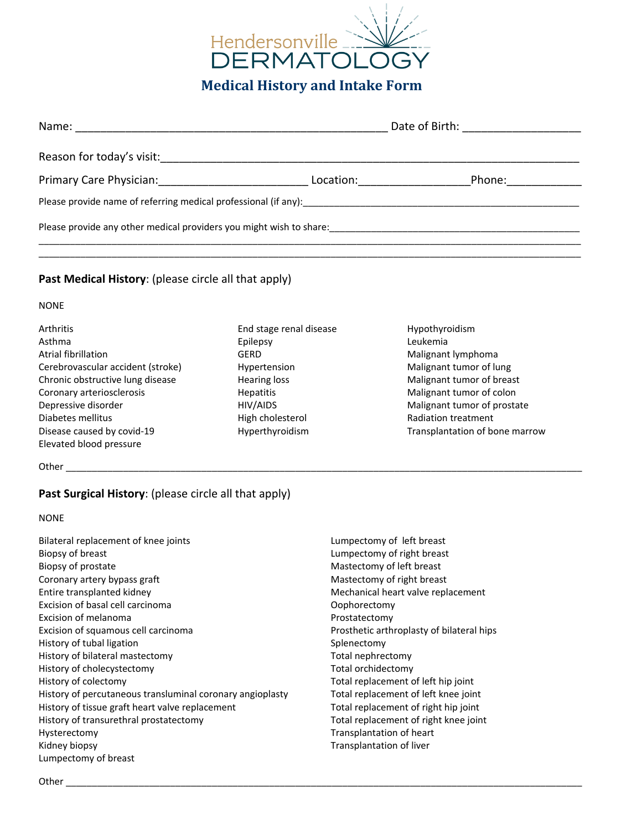

|                                                                 |           | Date of Birth: The Case of Birth: |
|-----------------------------------------------------------------|-----------|-----------------------------------|
| Reason for today's visit:                                       |           |                                   |
| Primary Care Physician: Primary Care Physician:                 | Location: | Phone:                            |
| Please provide name of referring medical professional (if any): |           |                                   |
|                                                                 |           |                                   |
|                                                                 |           |                                   |

# **Past Medical History**: (please circle all that apply)

#### NONE

| <b>Arthritis</b>                  | End stage renal disease | Hypothyroidism                 |  |
|-----------------------------------|-------------------------|--------------------------------|--|
| Asthma                            | Epilepsy                | Leukemia                       |  |
| Atrial fibrillation               | GERD                    | Malignant lymphoma             |  |
| Cerebrovascular accident (stroke) | Hypertension            | Malignant tumor of lung        |  |
| Chronic obstructive lung disease  | Hearing loss            | Malignant tumor of breast      |  |
| Coronary arteriosclerosis         | <b>Hepatitis</b>        | Malignant tumor of colon       |  |
| Depressive disorder               | HIV/AIDS                | Malignant tumor of prostate    |  |
| Diabetes mellitus                 | High cholesterol        | Radiation treatment            |  |
| Disease caused by covid-19        | Hyperthyroidism         | Transplantation of bone marrow |  |
| Elevated blood pressure           |                         |                                |  |

Other \_\_\_\_\_\_\_\_\_\_\_\_\_\_\_\_\_\_\_\_\_\_\_\_\_\_\_\_\_\_\_\_\_\_\_\_\_\_\_\_\_\_\_\_\_\_\_\_\_\_\_\_\_\_\_\_\_\_\_\_\_\_\_\_\_\_\_\_\_\_\_\_\_\_\_\_\_\_\_\_\_\_\_\_\_\_\_\_\_\_\_\_\_\_\_\_\_\_\_

# **Past Surgical History**: (please circle all that apply)

#### NONE

- Bilateral replacement of knee joints Biopsy of breast Biopsy of prostate Coronary artery bypass graft Entire transplanted kidney Excision of basal cell carcinoma Excision of melanoma Excision of squamous cell carcinoma History of tubal ligation History of bilateral mastectomy History of cholecystectomy History of colectomy History of percutaneous transluminal coronary angioplasty History of tissue graft heart valve replacement History of transurethral prostatectomy Hysterectomy Kidney biopsy Lumpectomy of breast
- Lumpectomy of left breast Lumpectomy of right breast Mastectomy of left breast Mastectomy of right breast Mechanical heart valve replacement Oophorectomy Prostatectomy Prosthetic arthroplasty of bilateral hips Splenectomy Total nephrectomy Total orchidectomy Total replacement of left hip joint Total replacement of left knee joint Total replacement of right hip joint Total replacement of right knee joint Transplantation of heart Transplantation of liver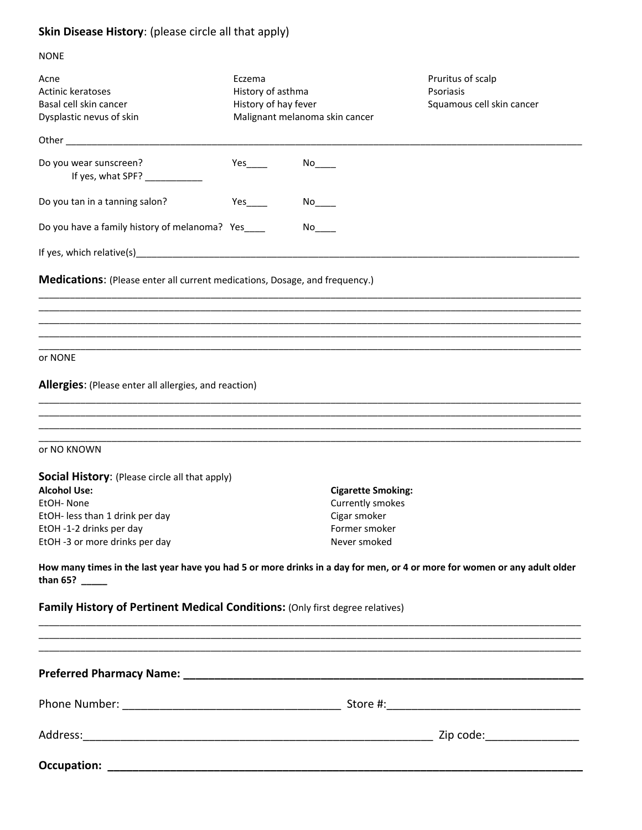# **Skin Disease History**: (please circle all that apply)

| <b>NONE</b>                                                                                                                                    |                                                     |                                |                                                                                                                                                                      |
|------------------------------------------------------------------------------------------------------------------------------------------------|-----------------------------------------------------|--------------------------------|----------------------------------------------------------------------------------------------------------------------------------------------------------------------|
| Acne<br>Actinic keratoses<br>Basal cell skin cancer<br>Dysplastic nevus of skin                                                                | Eczema<br>History of asthma<br>History of hay fever | Malignant melanoma skin cancer | Pruritus of scalp<br>Psoriasis<br>Squamous cell skin cancer                                                                                                          |
|                                                                                                                                                |                                                     |                                |                                                                                                                                                                      |
| Do you wear sunscreen?<br>If yes, what SPF? ____________                                                                                       | Yes                                                 | No l                           |                                                                                                                                                                      |
| Do you tan in a tanning salon?                                                                                                                 | Yes                                                 | No l                           |                                                                                                                                                                      |
| Do you have a family history of melanoma? Yes___                                                                                               |                                                     | No l                           |                                                                                                                                                                      |
|                                                                                                                                                |                                                     |                                |                                                                                                                                                                      |
| <b>Medications:</b> (Please enter all current medications, Dosage, and frequency.)                                                             |                                                     |                                |                                                                                                                                                                      |
| or NONE                                                                                                                                        |                                                     |                                |                                                                                                                                                                      |
| <b>Allergies:</b> (Please enter all allergies, and reaction)                                                                                   |                                                     |                                |                                                                                                                                                                      |
|                                                                                                                                                |                                                     |                                |                                                                                                                                                                      |
| or NO KNOWN                                                                                                                                    |                                                     |                                |                                                                                                                                                                      |
| <b>Social History:</b> (Please circle all that apply)                                                                                          |                                                     |                                |                                                                                                                                                                      |
| <b>Alcohol Use:</b>                                                                                                                            |                                                     | <b>Cigarette Smoking:</b>      |                                                                                                                                                                      |
| EtOH- None                                                                                                                                     |                                                     | Currently smokes               |                                                                                                                                                                      |
| EtOH- less than 1 drink per day<br>EtOH -1-2 drinks per day                                                                                    |                                                     | Cigar smoker                   |                                                                                                                                                                      |
| EtOH -3 or more drinks per day                                                                                                                 |                                                     | Former smoker<br>Never smoked  |                                                                                                                                                                      |
| How many times in the last year have you had 5 or more drinks in a day for men, or 4 or more for women or any adult older<br>than $65?$ ______ |                                                     |                                |                                                                                                                                                                      |
| Family History of Pertinent Medical Conditions: (Only first degree relatives)                                                                  |                                                     |                                | ,一个人的人都是一个人的人,我们就是一个人的人,我们就是一个人的人,我们就是一个人的人,我们就是一个人的人,我们就是一个人的人,我们就是一个人的人,我们就是一个<br>第一百一十一章 一个人的人,我们就是一个人的人,我们就是一个人的人,我们就是一个人的人,我们就是一个人的人,我们就是一个人的人,我们就是一个人的人,我们就是一个 |
| ,我们也不能在这里的,我们也不能在这里的,我们也不能不能不能不能不能不能不能不能不能不能不能不能不能不能。""我们的人们也不能不能不能不能不能不能不能不能不能不能                                                              |                                                     |                                |                                                                                                                                                                      |
|                                                                                                                                                |                                                     |                                |                                                                                                                                                                      |
|                                                                                                                                                |                                                     |                                |                                                                                                                                                                      |
|                                                                                                                                                |                                                     |                                |                                                                                                                                                                      |
|                                                                                                                                                |                                                     |                                |                                                                                                                                                                      |